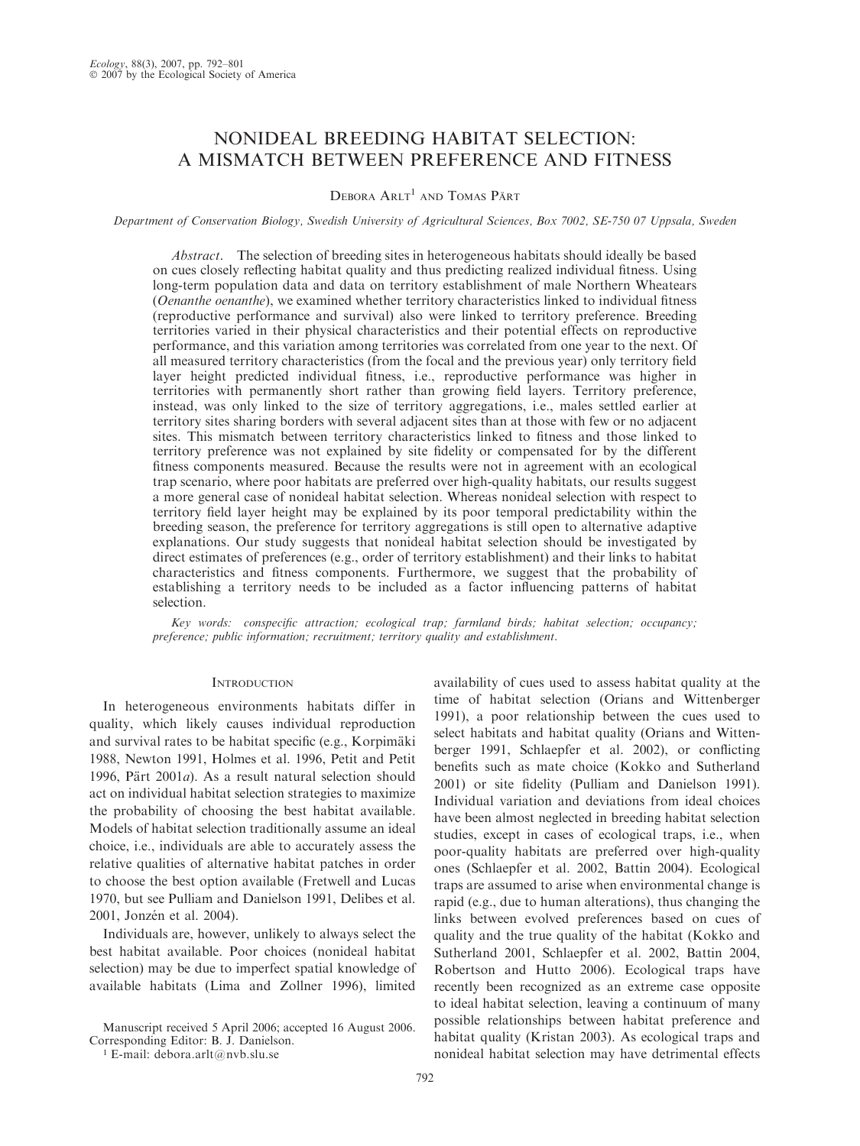# NONIDEAL BREEDING HABITAT SELECTION: A MISMATCH BETWEEN PREFERENCE AND FITNESS

## DEBORA ARLT<sup>1</sup> AND TOMAS PÄRT

Department of Conservation Biology, Swedish University of Agricultural Sciences, Box 7002, SE-750 07 Uppsala, Sweden

Abstract. The selection of breeding sites in heterogeneous habitats should ideally be based on cues closely reflecting habitat quality and thus predicting realized individual fitness. Using long-term population data and data on territory establishment of male Northern Wheatears (Oenanthe oenanthe), we examined whether territory characteristics linked to individual fitness (reproductive performance and survival) also were linked to territory preference. Breeding territories varied in their physical characteristics and their potential effects on reproductive performance, and this variation among territories was correlated from one year to the next. Of all measured territory characteristics (from the focal and the previous year) only territory field layer height predicted individual fitness, i.e., reproductive performance was higher in territories with permanently short rather than growing field layers. Territory preference, instead, was only linked to the size of territory aggregations, i.e., males settled earlier at territory sites sharing borders with several adjacent sites than at those with few or no adjacent sites. This mismatch between territory characteristics linked to fitness and those linked to territory preference was not explained by site fidelity or compensated for by the different fitness components measured. Because the results were not in agreement with an ecological trap scenario, where poor habitats are preferred over high-quality habitats, our results suggest a more general case of nonideal habitat selection. Whereas nonideal selection with respect to territory field layer height may be explained by its poor temporal predictability within the breeding season, the preference for territory aggregations is still open to alternative adaptive explanations. Our study suggests that nonideal habitat selection should be investigated by direct estimates of preferences (e.g., order of territory establishment) and their links to habitat characteristics and fitness components. Furthermore, we suggest that the probability of establishing a territory needs to be included as a factor influencing patterns of habitat selection.

Key words: conspecific attraction; ecological trap; farmland birds; habitat selection; occupancy; preference; public information; recruitment; territory quality and establishment.

## **INTRODUCTION**

In heterogeneous environments habitats differ in quality, which likely causes individual reproduction and survival rates to be habitat specific (e.g., Korpimäki 1988, Newton 1991, Holmes et al. 1996, Petit and Petit 1996, Pärt 2001a). As a result natural selection should act on individual habitat selection strategies to maximize the probability of choosing the best habitat available. Models of habitat selection traditionally assume an ideal choice, i.e., individuals are able to accurately assess the relative qualities of alternative habitat patches in order to choose the best option available (Fretwell and Lucas 1970, but see Pulliam and Danielson 1991, Delibes et al. 2001, Jonzén et al. 2004).

Individuals are, however, unlikely to always select the best habitat available. Poor choices (nonideal habitat selection) may be due to imperfect spatial knowledge of available habitats (Lima and Zollner 1996), limited availability of cues used to assess habitat quality at the time of habitat selection (Orians and Wittenberger 1991), a poor relationship between the cues used to select habitats and habitat quality (Orians and Wittenberger 1991, Schlaepfer et al. 2002), or conflicting benefits such as mate choice (Kokko and Sutherland 2001) or site fidelity (Pulliam and Danielson 1991). Individual variation and deviations from ideal choices have been almost neglected in breeding habitat selection studies, except in cases of ecological traps, i.e., when poor-quality habitats are preferred over high-quality ones (Schlaepfer et al. 2002, Battin 2004). Ecological traps are assumed to arise when environmental change is rapid (e.g., due to human alterations), thus changing the links between evolved preferences based on cues of quality and the true quality of the habitat (Kokko and Sutherland 2001, Schlaepfer et al. 2002, Battin 2004, Robertson and Hutto 2006). Ecological traps have recently been recognized as an extreme case opposite to ideal habitat selection, leaving a continuum of many possible relationships between habitat preference and habitat quality (Kristan 2003). As ecological traps and nonideal habitat selection may have detrimental effects

Manuscript received 5 April 2006; accepted 16 August 2006. Corresponding Editor: B. J. Danielson.

<sup>1</sup> E-mail: debora.arlt@nvb.slu.se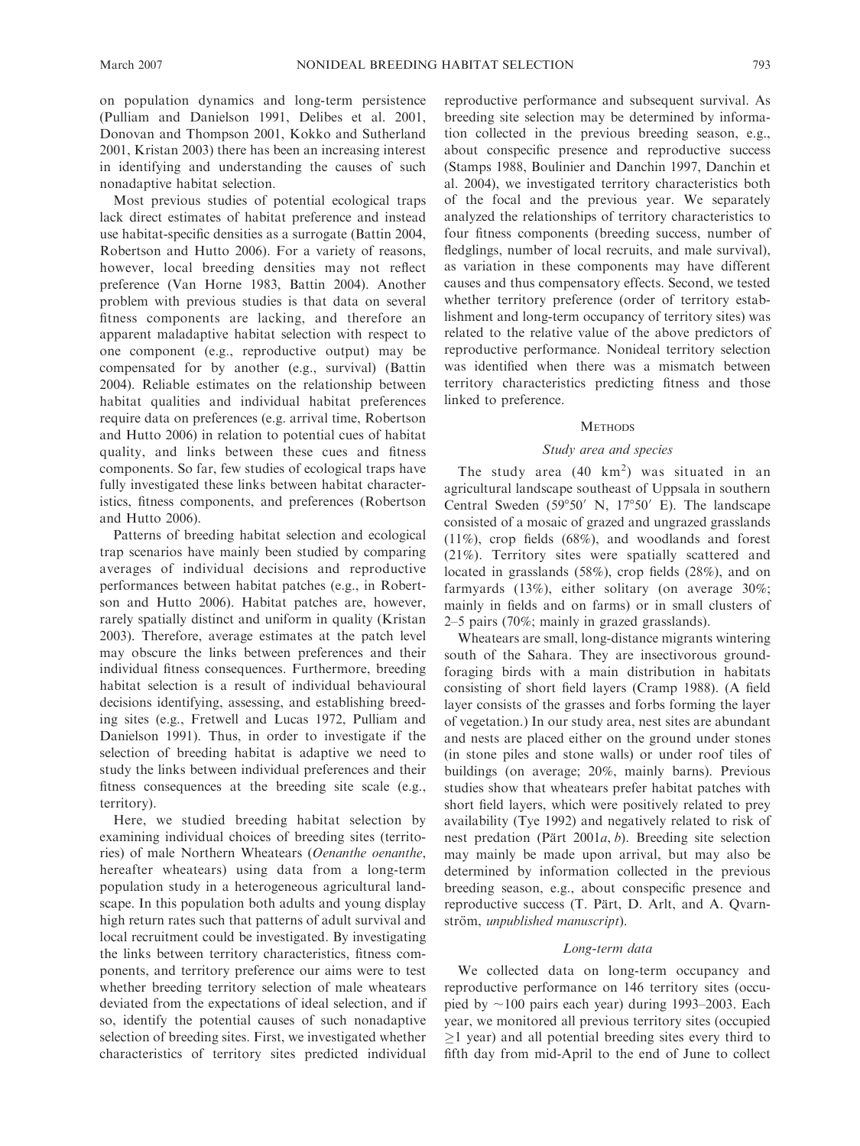on population dynamics and long-term persistence (Pulliam and Danielson 1991, Delibes et al. 2001, Donovan and Thompson 2001, Kokko and Sutherland 2001, Kristan 2003) there has been an increasing interest in identifying and understanding the causes of such nonadaptive habitat selection.

Most previous studies of potential ecological traps lack direct estimates of habitat preference and instead use habitat-specific densities as a surrogate (Battin 2004, Robertson and Hutto 2006). For a variety of reasons, however, local breeding densities may not reflect preference (Van Horne 1983, Battin 2004). Another problem with previous studies is that data on several fitness components are lacking, and therefore an apparent maladaptive habitat selection with respect to one component (e.g., reproductive output) may be compensated for by another (e.g., survival) (Battin 2004). Reliable estimates on the relationship between habitat qualities and individual habitat preferences require data on preferences (e.g. arrival time, Robertson and Hutto 2006) in relation to potential cues of habitat quality, and links between these cues and fitness components. So far, few studies of ecological traps have fully investigated these links between habitat characteristics, fitness components, and preferences (Robertson and Hutto 2006).

Patterns of breeding habitat selection and ecological trap scenarios have mainly been studied by comparing averages of individual decisions and reproductive performances between habitat patches (e.g., in Robertson and Hutto 2006). Habitat patches are, however, rarely spatially distinct and uniform in quality (Kristan 2003). Therefore, average estimates at the patch level may obscure the links between preferences and their individual fitness consequences. Furthermore, breeding habitat selection is a result of individual behavioural decisions identifying, assessing, and establishing breeding sites (e.g., Fretwell and Lucas 1972, Pulliam and Danielson 1991). Thus, in order to investigate if the selection of breeding habitat is adaptive we need to study the links between individual preferences and their fitness consequences at the breeding site scale (e.g., territory).

Here, we studied breeding habitat selection by examining individual choices of breeding sites (territories) of male Northern Wheatears (Oenanthe oenanthe, hereafter wheatears) using data from a long-term population study in a heterogeneous agricultural landscape. In this population both adults and young display high return rates such that patterns of adult survival and local recruitment could be investigated. By investigating the links between territory characteristics, fitness components, and territory preference our aims were to test whether breeding territory selection of male wheatears deviated from the expectations of ideal selection, and if so, identify the potential causes of such nonadaptive selection of breeding sites. First, we investigated whether characteristics of territory sites predicted individual reproductive performance and subsequent survival. As breeding site selection may be determined by information collected in the previous breeding season, e.g., about conspecific presence and reproductive success (Stamps 1988, Boulinier and Danchin 1997, Danchin et al. 2004), we investigated territory characteristics both of the focal and the previous year. We separately analyzed the relationships of territory characteristics to four fitness components (breeding success, number of fledglings, number of local recruits, and male survival), as variation in these components may have different causes and thus compensatory effects. Second, we tested whether territory preference (order of territory establishment and long-term occupancy of territory sites) was related to the relative value of the above predictors of reproductive performance. Nonideal territory selection was identified when there was a mismatch between territory characteristics predicting fitness and those linked to preference.

### **METHODS**

#### Study area and species

The study area  $(40 \text{ km}^2)$  was situated in an agricultural landscape southeast of Uppsala in southern Central Sweden (59°50′ N,  $17°50'$  E). The landscape consisted of a mosaic of grazed and ungrazed grasslands (11%), crop fields (68%), and woodlands and forest (21%). Territory sites were spatially scattered and located in grasslands (58%), crop fields (28%), and on farmyards (13%), either solitary (on average 30%; mainly in fields and on farms) or in small clusters of 2–5 pairs (70%; mainly in grazed grasslands).

Wheatears are small, long-distance migrants wintering south of the Sahara. They are insectivorous groundforaging birds with a main distribution in habitats consisting of short field layers (Cramp 1988). (A field layer consists of the grasses and forbs forming the layer of vegetation.) In our study area, nest sites are abundant and nests are placed either on the ground under stones (in stone piles and stone walls) or under roof tiles of buildings (on average; 20%, mainly barns). Previous studies show that wheatears prefer habitat patches with short field layers, which were positively related to prey availability (Tye 1992) and negatively related to risk of nest predation (Pärt 2001 $a$ ,  $b$ ). Breeding site selection may mainly be made upon arrival, but may also be determined by information collected in the previous breeding season, e.g., about conspecific presence and reproductive success (T. Pärt, D. Arlt, and A. Qvarnström, unpublished manuscript).

#### Long-term data

We collected data on long-term occupancy and reproductive performance on 146 territory sites (occupied by  $\sim$ 100 pairs each year) during 1993–2003. Each year, we monitored all previous territory sites (occupied  $\geq$ 1 year) and all potential breeding sites every third to fifth day from mid-April to the end of June to collect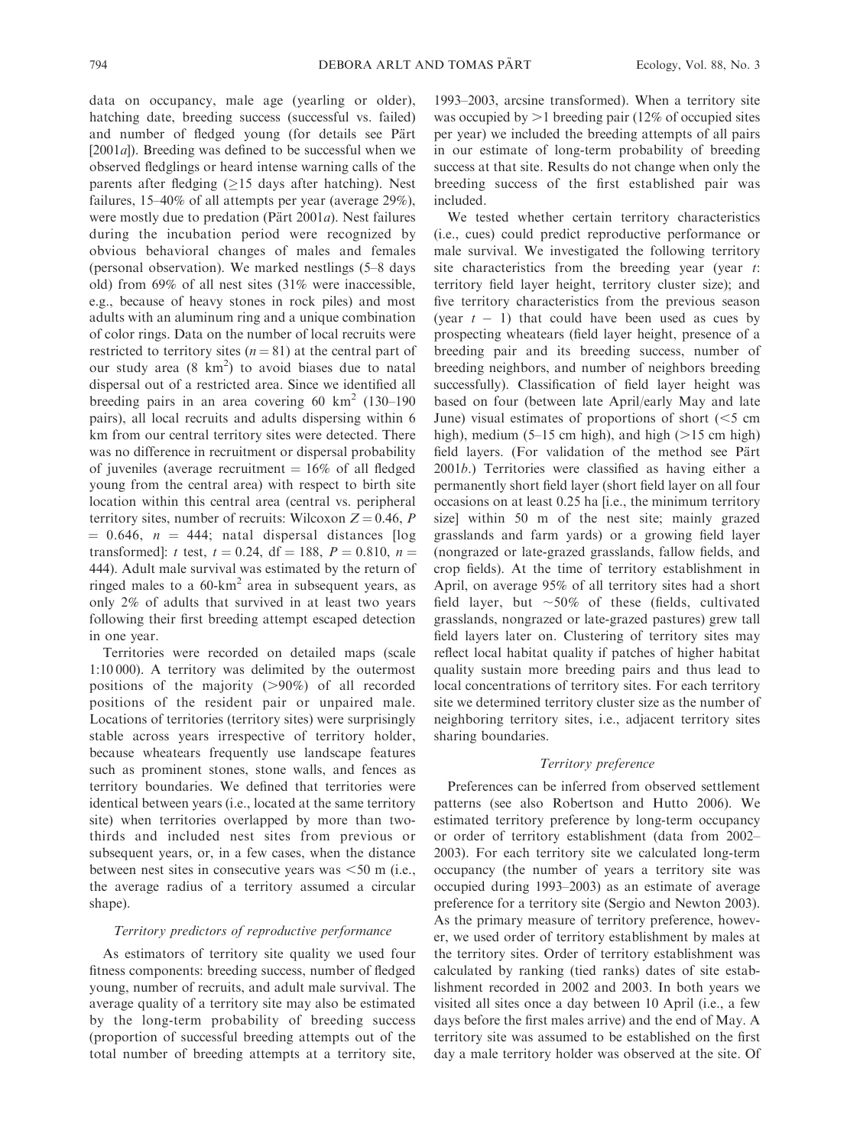data on occupancy, male age (yearling or older), hatching date, breeding success (successful vs. failed) and number of fledged young (for details see Pärt [ $2001a$ ]). Breeding was defined to be successful when we observed fledglings or heard intense warning calls of the parents after fledging  $(≥15$  days after hatching). Nest failures, 15–40% of all attempts per year (average 29%), were mostly due to predation (Pärt  $2001a$ ). Nest failures during the incubation period were recognized by obvious behavioral changes of males and females (personal observation). We marked nestlings (5–8 days old) from 69% of all nest sites (31% were inaccessible, e.g., because of heavy stones in rock piles) and most adults with an aluminum ring and a unique combination of color rings. Data on the number of local recruits were restricted to territory sites  $(n = 81)$  at the central part of our study area  $(8 \text{ km}^2)$  to avoid biases due to natal dispersal out of a restricted area. Since we identified all breeding pairs in an area covering  $60 \text{ km}^2$  (130–190) pairs), all local recruits and adults dispersing within 6 km from our central territory sites were detected. There was no difference in recruitment or dispersal probability of juveniles (average recruitment  $= 16\%$  of all fledged young from the central area) with respect to birth site location within this central area (central vs. peripheral territory sites, number of recruits: Wilcoxon  $Z = 0.46$ , P  $= 0.646$ ,  $n = 444$ ; natal dispersal distances [log transformed]: t test,  $t = 0.24$ , df = 188, P = 0.810, n = 444). Adult male survival was estimated by the return of ringed males to a  $60 \text{-} \text{km}^2$  area in subsequent years, as only 2% of adults that survived in at least two years following their first breeding attempt escaped detection in one year.

Territories were recorded on detailed maps (scale 1:10 000). A territory was delimited by the outermost positions of the majority  $(>\!\!90\%)$  of all recorded positions of the resident pair or unpaired male. Locations of territories (territory sites) were surprisingly stable across years irrespective of territory holder, because wheatears frequently use landscape features such as prominent stones, stone walls, and fences as territory boundaries. We defined that territories were identical between years (i.e., located at the same territory site) when territories overlapped by more than twothirds and included nest sites from previous or subsequent years, or, in a few cases, when the distance between nest sites in consecutive years was  $<50$  m (i.e., the average radius of a territory assumed a circular shape).

#### Territory predictors of reproductive performance

As estimators of territory site quality we used four fitness components: breeding success, number of fledged young, number of recruits, and adult male survival. The average quality of a territory site may also be estimated by the long-term probability of breeding success (proportion of successful breeding attempts out of the total number of breeding attempts at a territory site,

1993–2003, arcsine transformed). When a territory site was occupied by  $>1$  breeding pair (12% of occupied sites per year) we included the breeding attempts of all pairs in our estimate of long-term probability of breeding success at that site. Results do not change when only the breeding success of the first established pair was included.

We tested whether certain territory characteristics (i.e., cues) could predict reproductive performance or male survival. We investigated the following territory site characteristics from the breeding year (year  $t$ : territory field layer height, territory cluster size); and five territory characteristics from the previous season (year  $t - 1$ ) that could have been used as cues by prospecting wheatears (field layer height, presence of a breeding pair and its breeding success, number of breeding neighbors, and number of neighbors breeding successfully). Classification of field layer height was based on four (between late April/early May and late June) visual estimates of proportions of short  $(<5$  cm high), medium  $(5-15 \text{ cm high})$ , and high  $(>15 \text{ cm high})$ field layers. (For validation of the method see Pärt 2001b.) Territories were classified as having either a permanently short field layer (short field layer on all four occasions on at least 0.25 ha [i.e., the minimum territory size] within 50 m of the nest site; mainly grazed grasslands and farm yards) or a growing field layer (nongrazed or late-grazed grasslands, fallow fields, and crop fields). At the time of territory establishment in April, on average 95% of all territory sites had a short field layer, but  $\sim 50\%$  of these (fields, cultivated grasslands, nongrazed or late-grazed pastures) grew tall field layers later on. Clustering of territory sites may reflect local habitat quality if patches of higher habitat quality sustain more breeding pairs and thus lead to local concentrations of territory sites. For each territory site we determined territory cluster size as the number of neighboring territory sites, i.e., adjacent territory sites sharing boundaries.

## Territory preference

Preferences can be inferred from observed settlement patterns (see also Robertson and Hutto 2006). We estimated territory preference by long-term occupancy or order of territory establishment (data from 2002– 2003). For each territory site we calculated long-term occupancy (the number of years a territory site was occupied during 1993–2003) as an estimate of average preference for a territory site (Sergio and Newton 2003). As the primary measure of territory preference, however, we used order of territory establishment by males at the territory sites. Order of territory establishment was calculated by ranking (tied ranks) dates of site establishment recorded in 2002 and 2003. In both years we visited all sites once a day between 10 April (i.e., a few days before the first males arrive) and the end of May. A territory site was assumed to be established on the first day a male territory holder was observed at the site. Of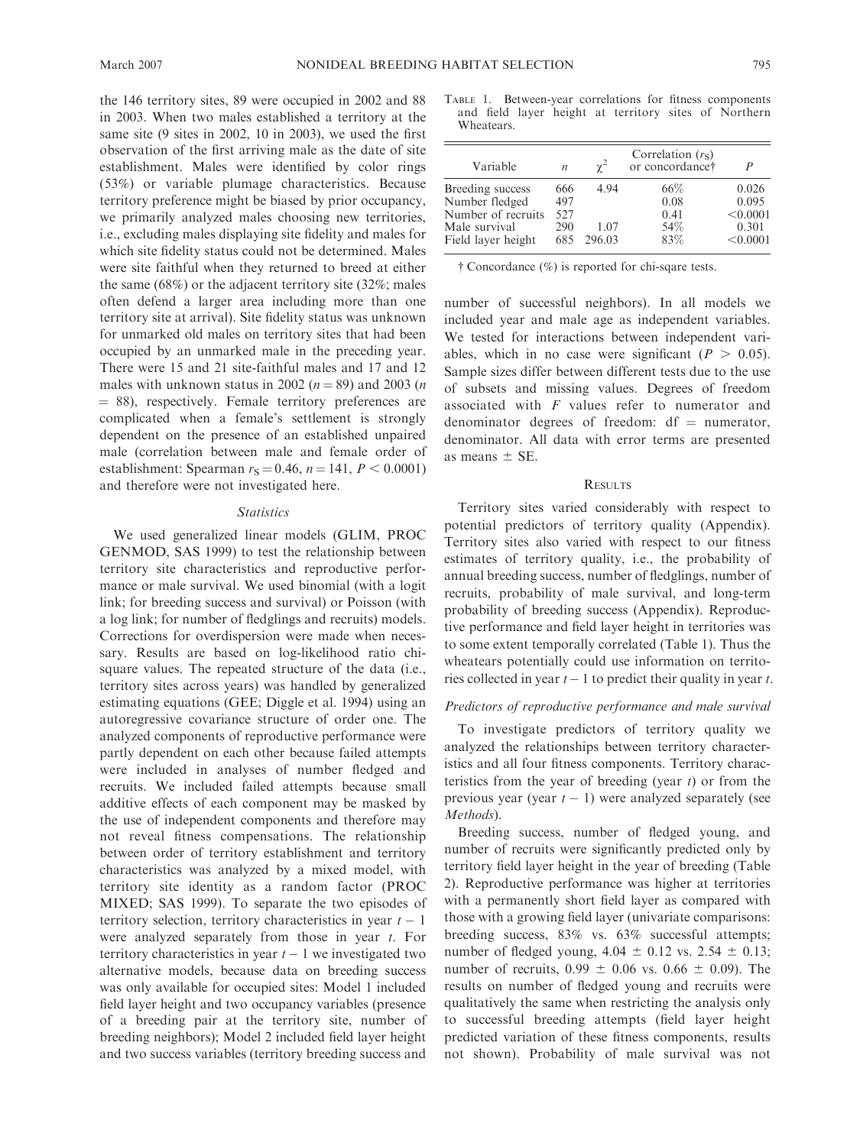the 146 territory sites, 89 were occupied in 2002 and 88 in 2003. When two males established a territory at the same site (9 sites in 2002, 10 in 2003), we used the first observation of the first arriving male as the date of site establishment. Males were identified by color rings (53%) or variable plumage characteristics. Because territory preference might be biased by prior occupancy, we primarily analyzed males choosing new territories, i.e., excluding males displaying site fidelity and males for which site fidelity status could not be determined. Males were site faithful when they returned to breed at either the same (68%) or the adjacent territory site (32%; males often defend a larger area including more than one territory site at arrival). Site fidelity status was unknown for unmarked old males on territory sites that had been occupied by an unmarked male in the preceding year. There were 15 and 21 site-faithful males and 17 and 12 males with unknown status in 2002 ( $n = 89$ ) and 2003 (*n*  $= 88$ ), respectively. Female territory preferences are complicated when a female's settlement is strongly dependent on the presence of an established unpaired male (correlation between male and female order of establishment: Spearman  $r_S = 0.46$ ,  $n = 141$ ,  $P < 0.0001$ ) and therefore were not investigated here.

#### Statistics

We used generalized linear models (GLIM, PROC GENMOD, SAS 1999) to test the relationship between territory site characteristics and reproductive performance or male survival. We used binomial (with a logit link; for breeding success and survival) or Poisson (with a log link; for number of fledglings and recruits) models. Corrections for overdispersion were made when necessary. Results are based on log-likelihood ratio chisquare values. The repeated structure of the data (i.e., territory sites across years) was handled by generalized estimating equations (GEE; Diggle et al. 1994) using an autoregressive covariance structure of order one. The analyzed components of reproductive performance were partly dependent on each other because failed attempts were included in analyses of number fledged and recruits. We included failed attempts because small additive effects of each component may be masked by the use of independent components and therefore may not reveal fitness compensations. The relationship between order of territory establishment and territory characteristics was analyzed by a mixed model, with territory site identity as a random factor (PROC MIXED; SAS 1999). To separate the two episodes of territory selection, territory characteristics in year  $t - 1$ were analyzed separately from those in year  $t$ . For territory characteristics in year  $t - 1$  we investigated two alternative models, because data on breeding success was only available for occupied sites: Model 1 included field layer height and two occupancy variables (presence of a breeding pair at the territory site, number of breeding neighbors); Model 2 included field layer height and two success variables (territory breeding success and

TABLE 1. Between-year correlations for fitness components and field layer height at territory sites of Northern Wheatears.

| Variable                                                                                        | n                               | $\gamma^2$             | Correlation $(rs)$<br>or concordance <sup>†</sup> |                                                 |
|-------------------------------------------------------------------------------------------------|---------------------------------|------------------------|---------------------------------------------------|-------------------------------------------------|
| Breeding success<br>Number fledged<br>Number of recruits<br>Male survival<br>Field layer height | 666<br>497<br>527<br>290<br>685 | 4.94<br>1.07<br>296.03 | 66\%<br>0.08<br>0.41<br>54%<br>83%                | 0.026<br>0.095<br>< 0.0001<br>0.301<br>< 0.0001 |

Concordance (%) is reported for chi-sqare tests.

number of successful neighbors). In all models we included year and male age as independent variables. We tested for interactions between independent variables, which in no case were significant ( $P > 0.05$ ). Sample sizes differ between different tests due to the use of subsets and missing values. Degrees of freedom associated with F values refer to numerator and denominator degrees of freedom:  $df = numerator$ , denominator. All data with error terms are presented as means  $\pm$  SE.

### **RESULTS**

Territory sites varied considerably with respect to potential predictors of territory quality (Appendix). Territory sites also varied with respect to our fitness estimates of territory quality, i.e., the probability of annual breeding success, number of fledglings, number of recruits, probability of male survival, and long-term probability of breeding success (Appendix). Reproductive performance and field layer height in territories was to some extent temporally correlated (Table 1). Thus the wheatears potentially could use information on territories collected in year  $t - 1$  to predict their quality in year t.

#### Predictors of reproductive performance and male survival

To investigate predictors of territory quality we analyzed the relationships between territory characteristics and all four fitness components. Territory characteristics from the year of breeding (year  $t$ ) or from the previous year (year  $t - 1$ ) were analyzed separately (see Methods).

Breeding success, number of fledged young, and number of recruits were significantly predicted only by territory field layer height in the year of breeding (Table 2). Reproductive performance was higher at territories with a permanently short field layer as compared with those with a growing field layer (univariate comparisons: breeding success, 83% vs. 63% successful attempts; number of fledged young,  $4.04 \pm 0.12$  vs. 2.54  $\pm$  0.13; number of recruits,  $0.99 \pm 0.06$  vs.  $0.66 \pm 0.09$ ). The results on number of fledged young and recruits were qualitatively the same when restricting the analysis only to successful breeding attempts (field layer height predicted variation of these fitness components, results not shown). Probability of male survival was not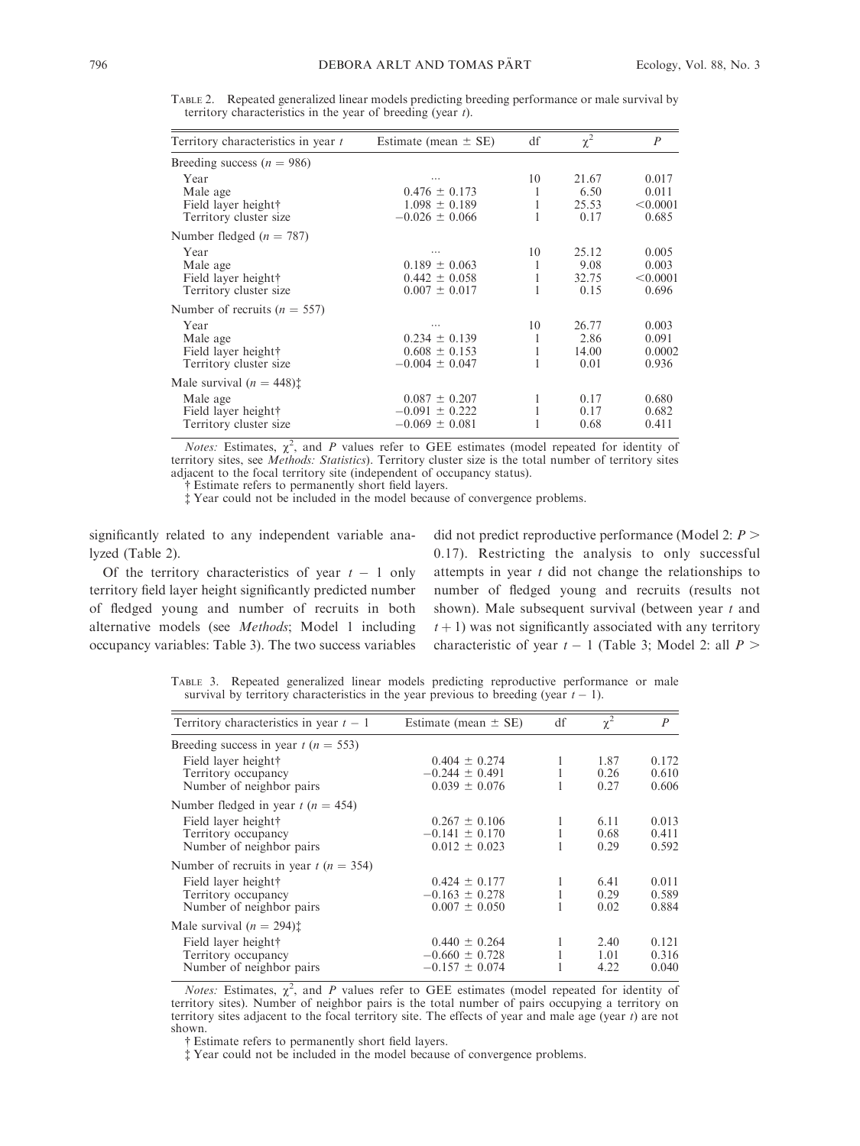| Territory characteristics in year t | Estimate (mean $\pm$ SE) | df | $\chi^2$ | $\overline{P}$ |
|-------------------------------------|--------------------------|----|----------|----------------|
| Breeding success ( $n = 986$ )      |                          |    |          |                |
| Year                                |                          | 10 | 21.67    | 0.017          |
| Male age                            | $0.476 \pm 0.173$        | 1  | 6.50     | 0.011          |
| Field layer height†                 | $1.098 \pm 0.189$        | 1  | 25.53    | < 0.0001       |
| Territory cluster size              | $-0.026 \pm 0.066$       |    | 0.17     | 0.685          |
| Number fledged ( $n = 787$ )        |                          |    |          |                |
| Year                                |                          | 10 | 25.12    | 0.005          |
| Male age                            | $0.189 \pm 0.063$        | 1  | 9.08     | 0.003          |
| Field layer height†                 | $0.442 \pm 0.058$        | 1  | 32.75    | < 0.0001       |
| Territory cluster size              | $0.007 \pm 0.017$        |    | 0.15     | 0.696          |
| Number of recruits ( $n = 557$ )    |                          |    |          |                |
| Year                                |                          | 10 | 26.77    | 0.003          |
| Male age                            | $0.234 \pm 0.139$        | 1  | 2.86     | 0.091          |
| Field layer height†                 | $0.608 \pm 0.153$        | 1  | 14.00    | 0.0002         |
| Territory cluster size              | $-0.004 \pm 0.047$       |    | 0.01     | 0.936          |
| Male survival $(n = 448)$ :         |                          |    |          |                |
| Male age                            | $0.087 \pm 0.207$        | 1  | 0.17     | 0.680          |
| Field layer height†                 | $-0.091 \pm 0.222$       | 1  | 0.17     | 0.682          |
| Territory cluster size              | $-0.069 \pm 0.081$       |    | 0.68     | 0.411          |

TABLE 2. Repeated generalized linear models predicting breeding performance or male survival by territory characteristics in the year of breeding (year  $t$ ).

*Notes:* Estimates,  $\chi^2$ , and P values refer to GEE estimates (model repeated for identity of territory sites, see *Methods: Statistics*). Territory cluster size is the total number of territory sites adjacent to the focal territory site (independent of occupancy status).

Estimate refers to permanently short field layers.

- Year could not be included in the model because of convergence problems.

significantly related to any independent variable analyzed (Table 2).

Of the territory characteristics of year  $t - 1$  only territory field layer height significantly predicted number of fledged young and number of recruits in both alternative models (see Methods; Model 1 including occupancy variables: Table 3). The two success variables did not predict reproductive performance (Model 2:  $P$  > 0.17). Restricting the analysis to only successful attempts in year  $t$  did not change the relationships to number of fledged young and recruits (results not shown). Male subsequent survival (between year  $t$  and  $t + 1$ ) was not significantly associated with any territory characteristic of year  $t - 1$  (Table 3; Model 2: all  $P >$ 

TABLE 3. Repeated generalized linear models predicting reproductive performance or male survival by territory characteristics in the year previous to breeding (year  $t - 1$ ).

| Territory characteristics in year $t - 1$                                          | Estimate (mean $\pm$ SE)                                      | df | $\chi^2$             | $\overline{P}$          |
|------------------------------------------------------------------------------------|---------------------------------------------------------------|----|----------------------|-------------------------|
| Breeding success in year $t(n = 553)$                                              |                                                               |    |                      |                         |
| Field layer height <sup>†</sup><br>Territory occupancy<br>Number of neighbor pairs | $0.404 \pm 0.274$<br>$-0.244 \pm 0.491$<br>$0.039 \pm 0.076$  | 1  | 1.87<br>0.26<br>0.27 | 0.172<br>0.610<br>0.606 |
| Number fledged in year $t(n = 454)$                                                |                                                               |    |                      |                         |
| Field layer height <sup>†</sup><br>Territory occupancy<br>Number of neighbor pairs | $0.267 \pm 0.106$<br>$-0.141 \pm 0.170$<br>$0.012 \pm 0.023$  |    | 6.11<br>0.68<br>0.29 | 0.013<br>0.411<br>0.592 |
| Number of recruits in year $t(n = 354)$                                            |                                                               |    |                      |                         |
| Field layer height†<br>Territory occupancy<br>Number of neighbor pairs             | $0.424 \pm 0.177$<br>$-0.163 \pm 0.278$<br>$0.007 \pm 0.050$  | 1  | 6.41<br>0.29<br>0.02 | 0.011<br>0.589<br>0.884 |
| Male survival $(n = 294)$ :                                                        |                                                               |    |                      |                         |
| Field layer height†<br>Territory occupancy<br>Number of neighbor pairs             | $0.440 \pm 0.264$<br>$-0.660 \pm 0.728$<br>$-0.157 \pm 0.074$ | 1  | 2.40<br>1.01<br>4.22 | 0.121<br>0.316<br>0.040 |

*Notes:* Estimates,  $\chi^2$ , and P values refer to GEE estimates (model repeated for identity of territory sites). Number of neighbor pairs is the total number of pairs occupying a territory on territory sites adjacent to the focal territory site. The effects of year and male age (year  $t$ ) are not shown.

Estimate refers to permanently short field layers.

- Year could not be included in the model because of convergence problems.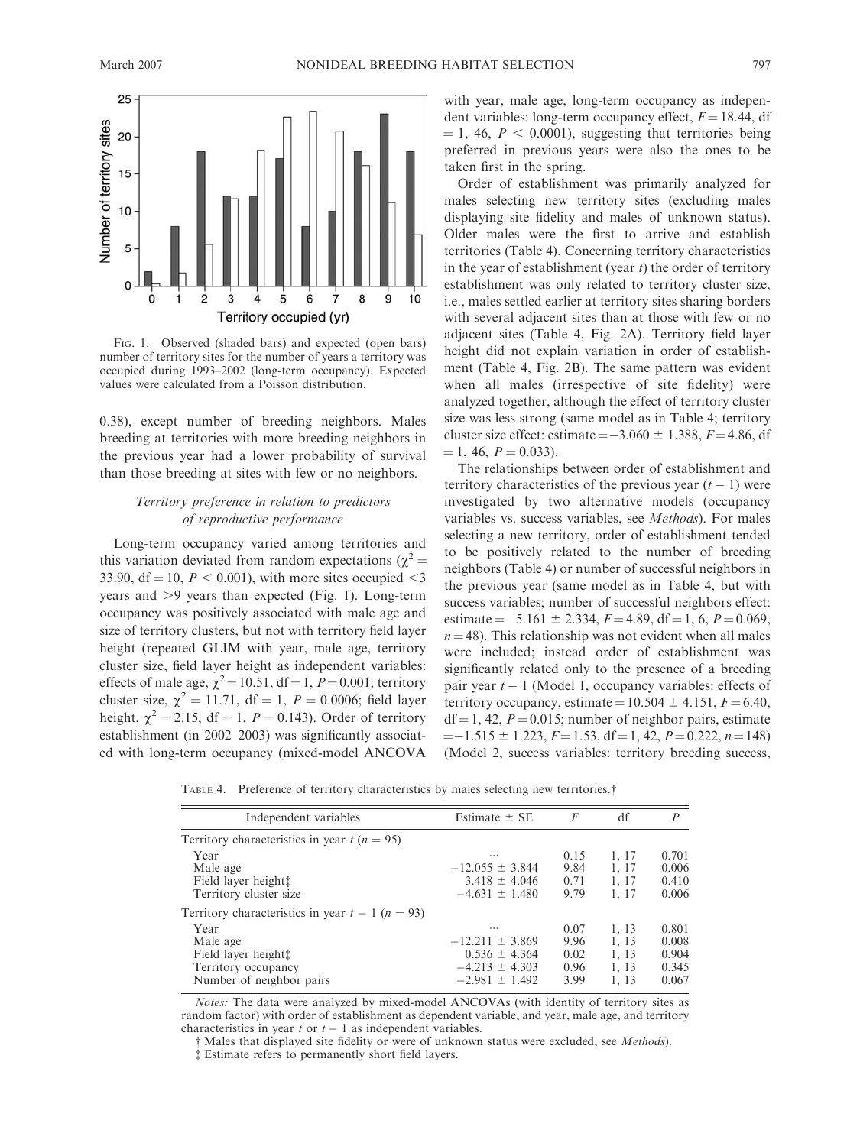

FIG. 1. Observed (shaded bars) and expected (open bars) number of territory sites for the number of years a territory was occupied during 1993–2002 (long-term occupancy). Expected values were calculated from a Poisson distribution.

0.38), except number of breeding neighbors. Males breeding at territories with more breeding neighbors in the previous year had a lower probability of survival than those breeding at sites with few or no neighbors.

## Territory preference in relation to predictors of reproductive performance

Long-term occupancy varied among territories and this variation deviated from random expectations ( $\chi^2$  = 33.90, df = 10,  $P < 0.001$ ), with more sites occupied <3 years and  $>9$  years than expected (Fig. 1). Long-term occupancy was positively associated with male age and size of territory clusters, but not with territory field layer height (repeated GLIM with year, male age, territory cluster size, field layer height as independent variables: effects of male age,  $\chi^2$  = 10.51, df = 1, P = 0.001; territory cluster size,  $\chi^2 = 11.71$ , df = 1, P = 0.0006; field layer height,  $\chi^2 = 2.15$ , df = 1, P = 0.143). Order of territory establishment (in 2002–2003) was significantly associated with long-term occupancy (mixed-model ANCOVA

with year, male age, long-term occupancy as independent variables: long-term occupancy effect,  $F = 18.44$ , df  $= 1, 46, P < 0.0001$ , suggesting that territories being preferred in previous years were also the ones to be taken first in the spring.

Order of establishment was primarily analyzed for males selecting new territory sites (excluding males displaying site fidelity and males of unknown status). Older males were the first to arrive and establish territories (Table 4). Concerning territory characteristics in the year of establishment (year  $t$ ) the order of territory establishment was only related to territory cluster size, i.e., males settled earlier at territory sites sharing borders with several adjacent sites than at those with few or no adjacent sites (Table 4, Fig. 2A). Territory field layer height did not explain variation in order of establishment (Table 4, Fig. 2B). The same pattern was evident when all males (irrespective of site fidelity) were analyzed together, although the effect of territory cluster size was less strong (same model as in Table 4; territory cluster size effect: estimate  $=-3.060 \pm 1.388$ ,  $F = 4.86$ , df  $= 1, 46, P = 0.033$ .

The relationships between order of establishment and territory characteristics of the previous year  $(t - 1)$  were investigated by two alternative models (occupancy variables vs. success variables, see Methods). For males selecting a new territory, order of establishment tended to be positively related to the number of breeding neighbors (Table 4) or number of successful neighbors in the previous year (same model as in Table 4, but with success variables; number of successful neighbors effect: estimate  $=-5.161 \pm 2.334$ ,  $F = 4.89$ , df  $= 1, 6, P = 0.069$ ,  $n = 48$ ). This relationship was not evident when all males were included; instead order of establishment was significantly related only to the presence of a breeding pair year  $t - 1$  (Model 1, occupancy variables: effects of territory occupancy, estimate =  $10.504 \pm 4.151$ ,  $F = 6.40$ ,  $df = 1, 42, P = 0.015$ ; number of neighbor pairs, estimate  $=-1.515 \pm 1.223, F=1.53, df=1, 42, P=0.222, n=148$ (Model 2, success variables: territory breeding success,

TABLE 4. Preference of territory characteristics by males selecting new territories.<sup>†</sup>

| Independent variables                                  | Estimate $\pm$ SE   | F    | df    | P     |
|--------------------------------------------------------|---------------------|------|-------|-------|
|                                                        |                     |      |       |       |
| Territory characteristics in year $t (n = 95)$         |                     |      |       |       |
| Year                                                   | $\cdots$            | 0.15 | 1, 17 | 0.701 |
| Male age                                               | $-12.055 \pm 3.844$ | 9.84 | 1.17  | 0.006 |
| Field layer height:                                    | $3.418 \pm 4.046$   | 0.71 | 1.17  | 0.410 |
| Territory cluster size                                 | $-4.631 \pm 1.480$  | 9.79 | 1.17  | 0.006 |
| Territory characteristics in year $t - 1$ ( $n = 93$ ) |                     |      |       |       |
| Year                                                   | $\cdots$            | 0.07 | 1, 13 | 0.801 |
| Male age                                               | $-12.211 \pm 3.869$ | 9.96 | 1.13  | 0.008 |
| Field layer height <sup>*</sup>                        | $0.536 \pm 4.364$   | 0.02 | 1, 13 | 0.904 |
| Territory occupancy                                    | $-4.213 \pm 4.303$  | 0.96 | 1, 13 | 0.345 |
| Number of neighbor pairs                               | $-2.981 \pm 1.492$  | 3.99 | 1, 13 | 0.067 |

Notes: The data were analyzed by mixed-model ANCOVAs (with identity of territory sites as random factor) with order of establishment as dependent variable, and year, male age, and territory characteristics in year  $t$  or  $t - 1$  as independent variables.

<sup>†</sup> Males that displayed site fidelity or were of unknown status were excluded, see Methods).

- Estimate refers to permanently short field layers.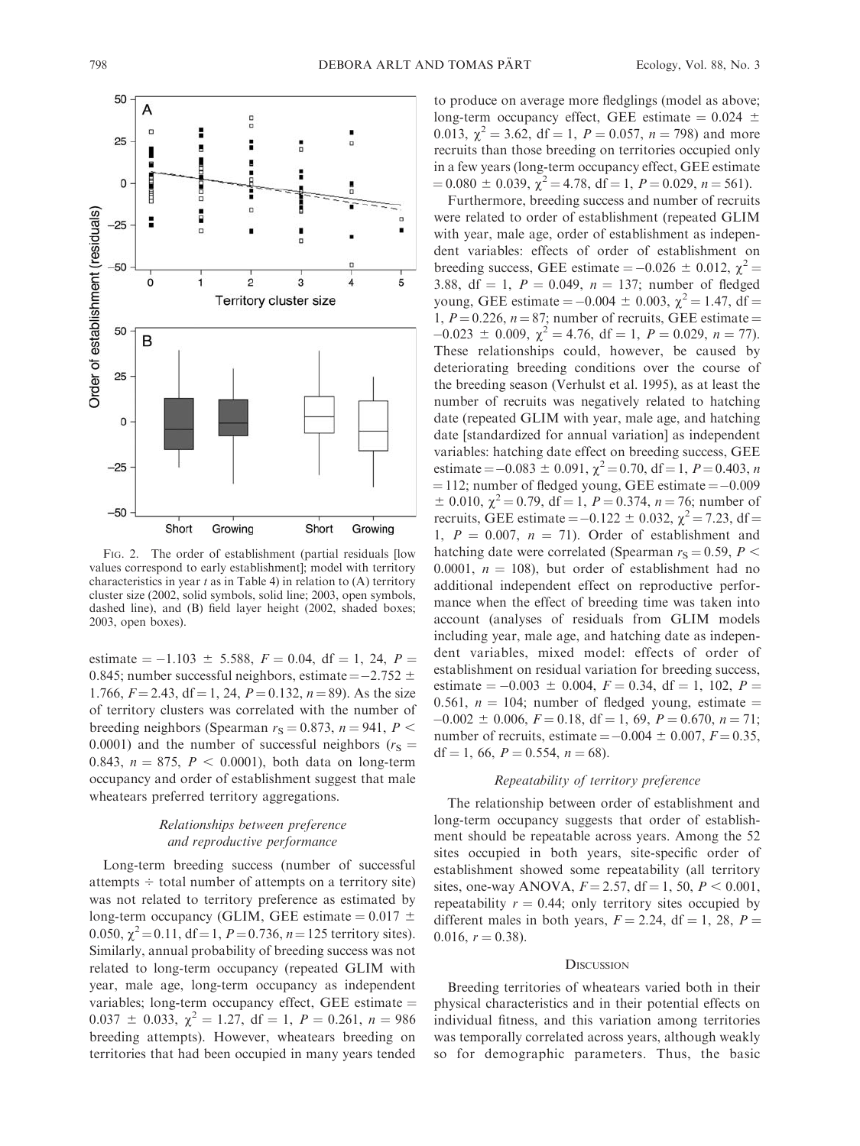

FIG. 2. The order of establishment (partial residuals [low values correspond to early establishment]; model with territory characteristics in year  $t$  as in Table 4) in relation to (A) territory cluster size (2002, solid symbols, solid line; 2003, open symbols, dashed line), and (B) field layer height (2002, shaded boxes; 2003, open boxes).

estimate  $= -1.103 \pm 5.588$ ,  $F = 0.04$ , df  $= 1, 24, P =$ 0.845; number successful neighbors, estimate  $=-2.752 \pm$ 1.766,  $F = 2.43$ , df = 1, 24,  $P = 0.132$ ,  $n = 89$ ). As the size of territory clusters was correlated with the number of breeding neighbors (Spearman  $r<sub>S</sub> = 0.873$ ,  $n = 941$ ,  $P <$ 0.0001) and the number of successful neighbors ( $r<sub>S</sub>$  = 0.843,  $n = 875$ ,  $P < 0.0001$ ), both data on long-term occupancy and order of establishment suggest that male wheatears preferred territory aggregations.

## Relationships between preference and reproductive performance

Long-term breeding success (number of successful attempts  $\div$  total number of attempts on a territory site) was not related to territory preference as estimated by long-term occupancy (GLIM, GEE estimate  $= 0.017 \pm 0.017$ 0.050,  $\chi^2$  = 0.11, df = 1, P = 0.736, n = 125 territory sites). Similarly, annual probability of breeding success was not related to long-term occupancy (repeated GLIM with year, male age, long-term occupancy as independent variables; long-term occupancy effect, GEE estimate  $=$  $0.037 \pm 0.033$ ,  $\chi^2 = 1.27$ , df = 1, P = 0.261, n = 986 breeding attempts). However, wheatears breeding on territories that had been occupied in many years tended to produce on average more fledglings (model as above; long-term occupancy effect, GEE estimate =  $0.024 \pm$ 0.013,  $\chi^2 = 3.62$ , df = 1, P = 0.057, n = 798) and more recruits than those breeding on territories occupied only in a few years (long-term occupancy effect, GEE estimate  $= 0.080 \pm 0.039$ ,  $\chi^2 = 4.78$ , df  $= 1$ ,  $P = 0.029$ ,  $n = 561$ ).

Furthermore, breeding success and number of recruits were related to order of establishment (repeated GLIM with year, male age, order of establishment as independent variables: effects of order of establishment on breeding success, GEE estimate =  $-0.026 \pm 0.012$ ,  $\chi^2$  = 3.88, df = 1,  $P = 0.049$ ,  $n = 137$ ; number of fledged young, GEE estimate  $= -0.004 \pm 0.003$ ,  $\chi^2 = 1.47$ , df = 1,  $P = 0.226$ ,  $n = 87$ ; number of recruits, GEE estimate =  $-0.023 \pm 0.009$ ,  $\chi^2 = 4.76$ , df = 1, P = 0.029, n = 77). These relationships could, however, be caused by deteriorating breeding conditions over the course of the breeding season (Verhulst et al. 1995), as at least the number of recruits was negatively related to hatching date (repeated GLIM with year, male age, and hatching date [standardized for annual variation] as independent variables: hatching date effect on breeding success, GEE estimate =  $-0.083 \pm 0.091$ ,  $\chi^2$  = 0.70, df = 1, P = 0.403, n  $= 112$ ; number of fledged young, GEE estimate  $= -0.009$  $\pm$  0.010,  $\chi^2$  = 0.79, df = 1, P = 0.374, n = 76; number of recruits, GEE estimate =  $-0.122 \pm 0.032$ ,  $\chi^2 = 7.23$ , df = 1,  $P = 0.007$ ,  $n = 71$ ). Order of establishment and hatching date were correlated (Spearman  $r<sub>S</sub> = 0.59$ ,  $P <$ 0.0001,  $n = 108$ ), but order of establishment had no additional independent effect on reproductive performance when the effect of breeding time was taken into account (analyses of residuals from GLIM models including year, male age, and hatching date as independent variables, mixed model: effects of order of establishment on residual variation for breeding success, estimate  $= -0.003 \pm 0.004$ ,  $F = 0.34$ , df  $= 1$ , 102, P  $=$ 0.561,  $n = 104$ ; number of fledged young, estimate =  $-0.002 \pm 0.006$ ,  $F = 0.18$ , df = 1, 69,  $P = 0.670$ ,  $n = 71$ ; number of recruits, estimate  $=$   $-0.004 \pm 0.007$ ,  $F = 0.35$ , df = 1, 66,  $P = 0.554$ ,  $n = 68$ ).

## Repeatability of territory preference

The relationship between order of establishment and long-term occupancy suggests that order of establishment should be repeatable across years. Among the 52 sites occupied in both years, site-specific order of establishment showed some repeatability (all territory sites, one-way ANOVA,  $F = 2.57$ , df = 1, 50,  $P < 0.001$ , repeatability  $r = 0.44$ ; only territory sites occupied by different males in both years,  $F = 2.24$ , df = 1, 28, P = 0.016,  $r = 0.38$ ).

#### **DISCUSSION**

Breeding territories of wheatears varied both in their physical characteristics and in their potential effects on individual fitness, and this variation among territories was temporally correlated across years, although weakly so for demographic parameters. Thus, the basic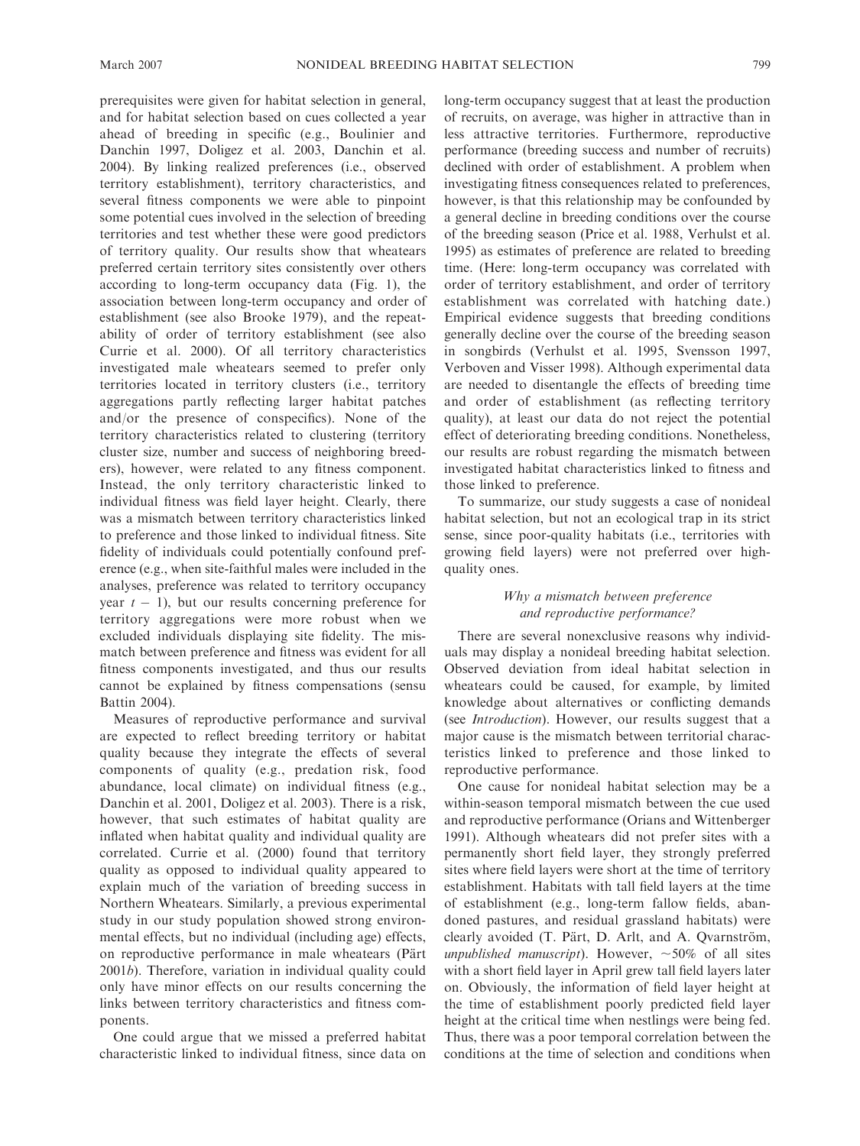prerequisites were given for habitat selection in general, and for habitat selection based on cues collected a year ahead of breeding in specific (e.g., Boulinier and Danchin 1997, Doligez et al. 2003, Danchin et al. 2004). By linking realized preferences (i.e., observed territory establishment), territory characteristics, and several fitness components we were able to pinpoint some potential cues involved in the selection of breeding territories and test whether these were good predictors of territory quality. Our results show that wheatears preferred certain territory sites consistently over others according to long-term occupancy data (Fig. 1), the association between long-term occupancy and order of establishment (see also Brooke 1979), and the repeatability of order of territory establishment (see also Currie et al. 2000). Of all territory characteristics investigated male wheatears seemed to prefer only territories located in territory clusters (i.e., territory aggregations partly reflecting larger habitat patches and/or the presence of conspecifics). None of the territory characteristics related to clustering (territory cluster size, number and success of neighboring breeders), however, were related to any fitness component. Instead, the only territory characteristic linked to individual fitness was field layer height. Clearly, there was a mismatch between territory characteristics linked to preference and those linked to individual fitness. Site fidelity of individuals could potentially confound preference (e.g., when site-faithful males were included in the analyses, preference was related to territory occupancy year  $t - 1$ ), but our results concerning preference for territory aggregations were more robust when we excluded individuals displaying site fidelity. The mismatch between preference and fitness was evident for all fitness components investigated, and thus our results cannot be explained by fitness compensations (sensu Battin 2004).

Measures of reproductive performance and survival are expected to reflect breeding territory or habitat quality because they integrate the effects of several components of quality (e.g., predation risk, food abundance, local climate) on individual fitness (e.g., Danchin et al. 2001, Doligez et al. 2003). There is a risk, however, that such estimates of habitat quality are inflated when habitat quality and individual quality are correlated. Currie et al. (2000) found that territory quality as opposed to individual quality appeared to explain much of the variation of breeding success in Northern Wheatears. Similarly, a previous experimental study in our study population showed strong environmental effects, but no individual (including age) effects, on reproductive performance in male wheatears (Pärt 2001b). Therefore, variation in individual quality could only have minor effects on our results concerning the links between territory characteristics and fitness components.

One could argue that we missed a preferred habitat characteristic linked to individual fitness, since data on long-term occupancy suggest that at least the production of recruits, on average, was higher in attractive than in less attractive territories. Furthermore, reproductive performance (breeding success and number of recruits) declined with order of establishment. A problem when investigating fitness consequences related to preferences, however, is that this relationship may be confounded by a general decline in breeding conditions over the course of the breeding season (Price et al. 1988, Verhulst et al. 1995) as estimates of preference are related to breeding time. (Here: long-term occupancy was correlated with order of territory establishment, and order of territory establishment was correlated with hatching date.) Empirical evidence suggests that breeding conditions generally decline over the course of the breeding season in songbirds (Verhulst et al. 1995, Svensson 1997, Verboven and Visser 1998). Although experimental data are needed to disentangle the effects of breeding time and order of establishment (as reflecting territory quality), at least our data do not reject the potential effect of deteriorating breeding conditions. Nonetheless, our results are robust regarding the mismatch between investigated habitat characteristics linked to fitness and those linked to preference.

To summarize, our study suggests a case of nonideal habitat selection, but not an ecological trap in its strict sense, since poor-quality habitats (i.e., territories with growing field layers) were not preferred over highquality ones.

## Why a mismatch between preference and reproductive performance?

There are several nonexclusive reasons why individuals may display a nonideal breeding habitat selection. Observed deviation from ideal habitat selection in wheatears could be caused, for example, by limited knowledge about alternatives or conflicting demands (see Introduction). However, our results suggest that a major cause is the mismatch between territorial characteristics linked to preference and those linked to reproductive performance.

One cause for nonideal habitat selection may be a within-season temporal mismatch between the cue used and reproductive performance (Orians and Wittenberger 1991). Although wheatears did not prefer sites with a permanently short field layer, they strongly preferred sites where field layers were short at the time of territory establishment. Habitats with tall field layers at the time of establishment (e.g., long-term fallow fields, abandoned pastures, and residual grassland habitats) were clearly avoided (T. Pärt, D. Arlt, and A. Qvarnström, unpublished manuscript). However,  $\sim$  50% of all sites with a short field layer in April grew tall field layers later on. Obviously, the information of field layer height at the time of establishment poorly predicted field layer height at the critical time when nestlings were being fed. Thus, there was a poor temporal correlation between the conditions at the time of selection and conditions when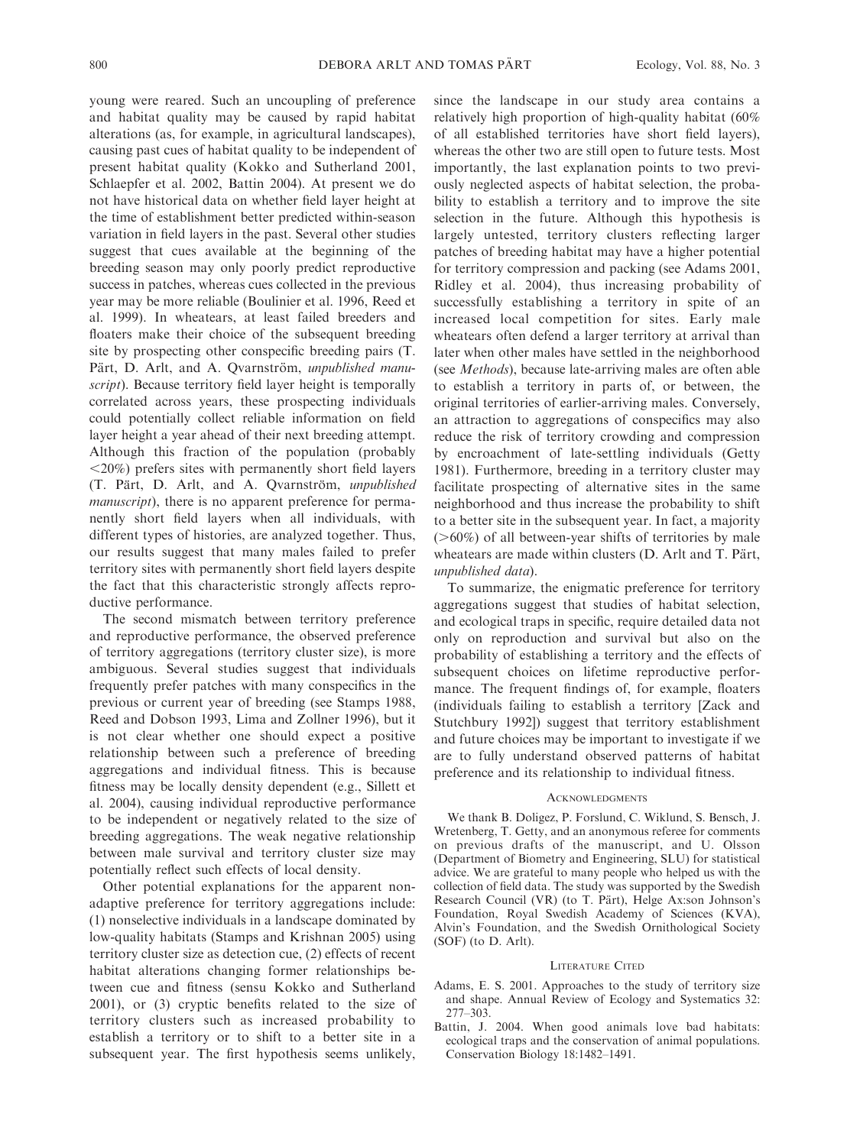young were reared. Such an uncoupling of preference and habitat quality may be caused by rapid habitat alterations (as, for example, in agricultural landscapes), causing past cues of habitat quality to be independent of present habitat quality (Kokko and Sutherland 2001, Schlaepfer et al. 2002, Battin 2004). At present we do not have historical data on whether field layer height at the time of establishment better predicted within-season variation in field layers in the past. Several other studies suggest that cues available at the beginning of the breeding season may only poorly predict reproductive success in patches, whereas cues collected in the previous year may be more reliable (Boulinier et al. 1996, Reed et al. 1999). In wheatears, at least failed breeders and floaters make their choice of the subsequent breeding site by prospecting other conspecific breeding pairs (T. Pärt, D. Arlt, and A. Qvarnström, unpublished manuscript). Because territory field layer height is temporally correlated across years, these prospecting individuals could potentially collect reliable information on field layer height a year ahead of their next breeding attempt. Although this fraction of the population (probably  $<$ 20%) prefers sites with permanently short field layers (T. Pärt, D. Arlt, and A. Qvarnström, unpublished manuscript), there is no apparent preference for permanently short field layers when all individuals, with different types of histories, are analyzed together. Thus, our results suggest that many males failed to prefer territory sites with permanently short field layers despite the fact that this characteristic strongly affects reproductive performance.

The second mismatch between territory preference and reproductive performance, the observed preference of territory aggregations (territory cluster size), is more ambiguous. Several studies suggest that individuals frequently prefer patches with many conspecifics in the previous or current year of breeding (see Stamps 1988, Reed and Dobson 1993, Lima and Zollner 1996), but it is not clear whether one should expect a positive relationship between such a preference of breeding aggregations and individual fitness. This is because fitness may be locally density dependent (e.g., Sillett et al. 2004), causing individual reproductive performance to be independent or negatively related to the size of breeding aggregations. The weak negative relationship between male survival and territory cluster size may potentially reflect such effects of local density.

Other potential explanations for the apparent nonadaptive preference for territory aggregations include: (1) nonselective individuals in a landscape dominated by low-quality habitats (Stamps and Krishnan 2005) using territory cluster size as detection cue, (2) effects of recent habitat alterations changing former relationships between cue and fitness (sensu Kokko and Sutherland 2001), or (3) cryptic benefits related to the size of territory clusters such as increased probability to establish a territory or to shift to a better site in a subsequent year. The first hypothesis seems unlikely, since the landscape in our study area contains a relatively high proportion of high-quality habitat (60% of all established territories have short field layers), whereas the other two are still open to future tests. Most importantly, the last explanation points to two previously neglected aspects of habitat selection, the probability to establish a territory and to improve the site selection in the future. Although this hypothesis is largely untested, territory clusters reflecting larger patches of breeding habitat may have a higher potential for territory compression and packing (see Adams 2001, Ridley et al. 2004), thus increasing probability of successfully establishing a territory in spite of an increased local competition for sites. Early male wheatears often defend a larger territory at arrival than later when other males have settled in the neighborhood (see Methods), because late-arriving males are often able to establish a territory in parts of, or between, the original territories of earlier-arriving males. Conversely, an attraction to aggregations of conspecifics may also reduce the risk of territory crowding and compression by encroachment of late-settling individuals (Getty 1981). Furthermore, breeding in a territory cluster may facilitate prospecting of alternative sites in the same neighborhood and thus increase the probability to shift to a better site in the subsequent year. In fact, a majority  $($ >60%) of all between-year shifts of territories by male wheatears are made within clusters  $(D.$  Arlt and T. Pärt, unpublished data).

To summarize, the enigmatic preference for territory aggregations suggest that studies of habitat selection, and ecological traps in specific, require detailed data not only on reproduction and survival but also on the probability of establishing a territory and the effects of subsequent choices on lifetime reproductive performance. The frequent findings of, for example, floaters (individuals failing to establish a territory [Zack and Stutchbury 1992]) suggest that territory establishment and future choices may be important to investigate if we are to fully understand observed patterns of habitat preference and its relationship to individual fitness.

#### **ACKNOWLEDGMENTS**

We thank B. Doligez, P. Forslund, C. Wiklund, S. Bensch, J. Wretenberg, T. Getty, and an anonymous referee for comments on previous drafts of the manuscript, and U. Olsson (Department of Biometry and Engineering, SLU) for statistical advice. We are grateful to many people who helped us with the collection of field data. The study was supported by the Swedish Research Council (VR) (to T. Pärt), Helge Ax:son Johnson's Foundation, Royal Swedish Academy of Sciences (KVA), Alvin's Foundation, and the Swedish Ornithological Society (SOF) (to D. Arlt).

#### LITERATURE CITED

- Adams, E. S. 2001. Approaches to the study of territory size and shape. Annual Review of Ecology and Systematics 32: 277–303.
- Battin, J. 2004. When good animals love bad habitats: ecological traps and the conservation of animal populations. Conservation Biology 18:1482–1491.